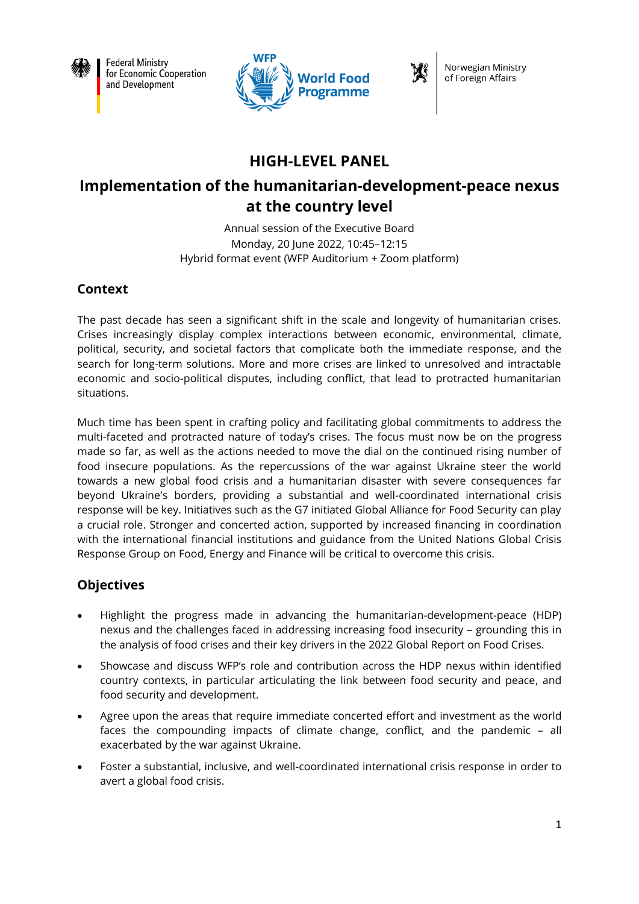

**Federal Ministry** for Economic Cooperation and Development



Norwegian Ministry of Foreign Affairs

# **HIGH-LEVEL PANEL**

# **Implementation of the humanitarian-development-peace nexus at the country level**

Annual session of the Executive Board Monday, 20 June 2022, 10:45–12:15 Hybrid format event (WFP Auditorium + Zoom platform)

## **Context**

The past decade has seen a significant shift in the scale and longevity of humanitarian crises. Crises increasingly display complex interactions between economic, environmental, climate, political, security, and societal factors that complicate both the immediate response, and the search for long-term solutions. More and more crises are linked to unresolved and intractable economic and socio-political disputes, including conflict, that lead to protracted humanitarian situations.

Much time has been spent in crafting policy and facilitating global commitments to address the multi-faceted and protracted nature of today's crises. The focus must now be on the progress made so far, as well as the actions needed to move the dial on the continued rising number of food insecure populations. As the repercussions of the war against Ukraine steer the world towards a new global food crisis and a humanitarian disaster with severe consequences far beyond Ukraine's borders, providing a substantial and well-coordinated international crisis response will be key. Initiatives such as the G7 initiated Global Alliance for Food Security can play a crucial role. Stronger and concerted action, supported by increased financing in coordination with the international financial institutions and guidance from the United Nations Global Crisis Response Group on Food, Energy and Finance will be critical to overcome this crisis.

## **Objectives**

- Highlight the progress made in advancing the humanitarian-development-peace (HDP) nexus and the challenges faced in addressing increasing food insecurity – grounding this in the analysis of food crises and their key drivers in the 2022 Global Report on Food Crises.
- Showcase and discuss WFP's role and contribution across the HDP nexus within identified country contexts, in particular articulating the link between food security and peace, and food security and development.
- Agree upon the areas that require immediate concerted effort and investment as the world faces the compounding impacts of climate change, conflict, and the pandemic – all exacerbated by the war against Ukraine.
- Foster a substantial, inclusive, and well-coordinated international crisis response in order to avert a global food crisis.